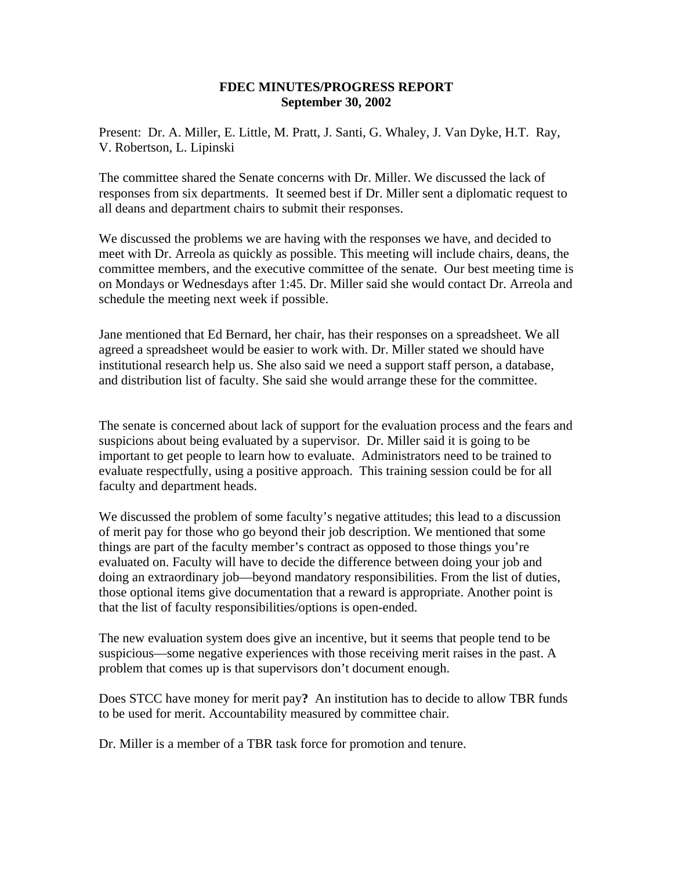## **FDEC MINUTES/PROGRESS REPORT September 30, 2002**

Present: Dr. A. Miller, E. Little, M. Pratt, J. Santi, G. Whaley, J. Van Dyke, H.T. Ray, V. Robertson, L. Lipinski

The committee shared the Senate concerns with Dr. Miller. We discussed the lack of responses from six departments. It seemed best if Dr. Miller sent a diplomatic request to all deans and department chairs to submit their responses.

We discussed the problems we are having with the responses we have, and decided to meet with Dr. Arreola as quickly as possible. This meeting will include chairs, deans, the committee members, and the executive committee of the senate. Our best meeting time is on Mondays or Wednesdays after 1:45. Dr. Miller said she would contact Dr. Arreola and schedule the meeting next week if possible.

Jane mentioned that Ed Bernard, her chair, has their responses on a spreadsheet. We all agreed a spreadsheet would be easier to work with. Dr. Miller stated we should have institutional research help us. She also said we need a support staff person, a database, and distribution list of faculty. She said she would arrange these for the committee.

The senate is concerned about lack of support for the evaluation process and the fears and suspicions about being evaluated by a supervisor. Dr. Miller said it is going to be important to get people to learn how to evaluate. Administrators need to be trained to evaluate respectfully, using a positive approach. This training session could be for all faculty and department heads.

We discussed the problem of some faculty's negative attitudes; this lead to a discussion of merit pay for those who go beyond their job description. We mentioned that some things are part of the faculty member's contract as opposed to those things you're evaluated on. Faculty will have to decide the difference between doing your job and doing an extraordinary job—beyond mandatory responsibilities. From the list of duties, those optional items give documentation that a reward is appropriate. Another point is that the list of faculty responsibilities/options is open-ended.

The new evaluation system does give an incentive, but it seems that people tend to be suspicious—some negative experiences with those receiving merit raises in the past. A problem that comes up is that supervisors don't document enough.

Does STCC have money for merit pay**?** An institution has to decide to allow TBR funds to be used for merit. Accountability measured by committee chair.

Dr. Miller is a member of a TBR task force for promotion and tenure.